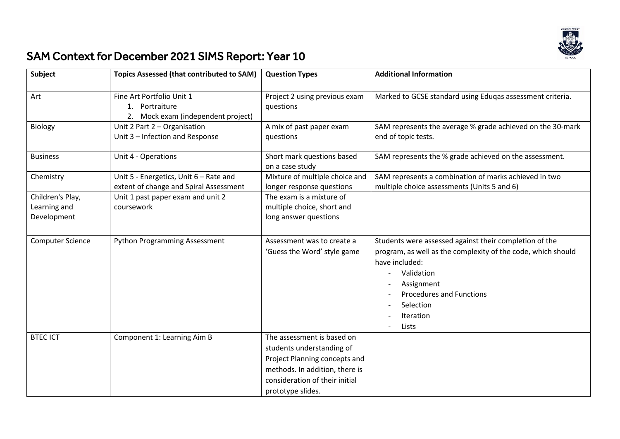

## SAM Context for December 2021 SIMS Report: Year 10

| Subject                                         | <b>Topics Assessed (that contributed to SAM)</b>                                  | <b>Question Types</b>                                                                                                                                                             | <b>Additional Information</b>                                                                                                                                                                                                              |
|-------------------------------------------------|-----------------------------------------------------------------------------------|-----------------------------------------------------------------------------------------------------------------------------------------------------------------------------------|--------------------------------------------------------------------------------------------------------------------------------------------------------------------------------------------------------------------------------------------|
| Art                                             | Fine Art Portfolio Unit 1<br>1. Portraiture<br>2. Mock exam (independent project) | Project 2 using previous exam<br>questions                                                                                                                                        | Marked to GCSE standard using Eduqas assessment criteria.                                                                                                                                                                                  |
| Biology                                         | Unit 2 Part 2 - Organisation<br>Unit 3 - Infection and Response                   | A mix of past paper exam<br>questions                                                                                                                                             | SAM represents the average % grade achieved on the 30-mark<br>end of topic tests.                                                                                                                                                          |
| <b>Business</b>                                 | Unit 4 - Operations                                                               | Short mark questions based<br>on a case study                                                                                                                                     | SAM represents the % grade achieved on the assessment.                                                                                                                                                                                     |
| Chemistry                                       | Unit 5 - Energetics, Unit 6 - Rate and<br>extent of change and Spiral Assessment  | Mixture of multiple choice and<br>longer response questions                                                                                                                       | SAM represents a combination of marks achieved in two<br>multiple choice assessments (Units 5 and 6)                                                                                                                                       |
| Children's Play,<br>Learning and<br>Development | Unit 1 past paper exam and unit 2<br>coursework                                   | The exam is a mixture of<br>multiple choice, short and<br>long answer questions                                                                                                   |                                                                                                                                                                                                                                            |
| <b>Computer Science</b>                         | <b>Python Programming Assessment</b>                                              | Assessment was to create a<br>'Guess the Word' style game                                                                                                                         | Students were assessed against their completion of the<br>program, as well as the complexity of the code, which should<br>have included:<br>Validation<br>Assignment<br><b>Procedures and Functions</b><br>Selection<br>Iteration<br>Lists |
| <b>BTEC ICT</b>                                 | Component 1: Learning Aim B                                                       | The assessment is based on<br>students understanding of<br>Project Planning concepts and<br>methods. In addition, there is<br>consideration of their initial<br>prototype slides. |                                                                                                                                                                                                                                            |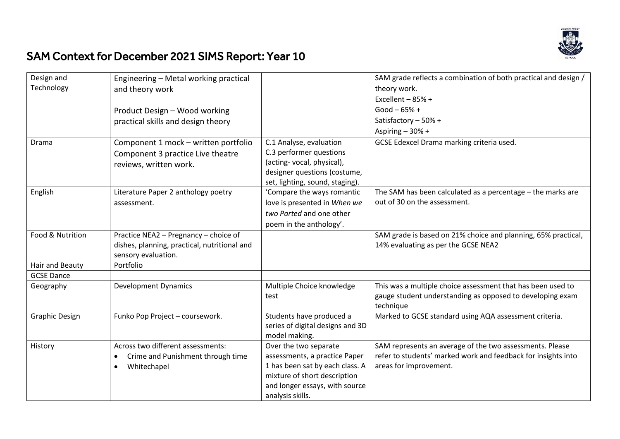

## SAM Context for December 2021 SIMS Report: Year 10

| Design and            | Engineering - Metal working practical          |                                  | SAM grade reflects a combination of both practical and design / |
|-----------------------|------------------------------------------------|----------------------------------|-----------------------------------------------------------------|
| Technology            | and theory work                                |                                  | theory work.                                                    |
|                       |                                                |                                  | Excellent $-85%$ +                                              |
|                       | Product Design - Wood working                  |                                  | Good $-65% +$                                                   |
|                       | practical skills and design theory             |                                  | Satisfactory - 50% +                                            |
|                       |                                                |                                  | Aspiring $-30% +$                                               |
| Drama                 | Component 1 mock - written portfolio           | C.1 Analyse, evaluation          | GCSE Edexcel Drama marking criteria used.                       |
|                       | Component 3 practice Live theatre              | C.3 performer questions          |                                                                 |
|                       | reviews, written work.                         | (acting-vocal, physical),        |                                                                 |
|                       |                                                | designer questions (costume,     |                                                                 |
|                       |                                                | set, lighting, sound, staging).  |                                                                 |
| English               | Literature Paper 2 anthology poetry            | 'Compare the ways romantic       | The SAM has been calculated as a percentage - the marks are     |
|                       | assessment.                                    | love is presented in When we     | out of 30 on the assessment.                                    |
|                       |                                                | two Parted and one other         |                                                                 |
|                       |                                                | poem in the anthology'.          |                                                                 |
| Food & Nutrition      | Practice NEA2 - Pregnancy - choice of          |                                  | SAM grade is based on 21% choice and planning, 65% practical,   |
|                       | dishes, planning, practical, nutritional and   |                                  | 14% evaluating as per the GCSE NEA2                             |
|                       | sensory evaluation.                            |                                  |                                                                 |
| Hair and Beauty       | Portfolio                                      |                                  |                                                                 |
| <b>GCSE Dance</b>     |                                                |                                  |                                                                 |
| Geography             | <b>Development Dynamics</b>                    | Multiple Choice knowledge        | This was a multiple choice assessment that has been used to     |
|                       |                                                | test                             | gauge student understanding as opposed to developing exam       |
|                       |                                                |                                  | technique                                                       |
| <b>Graphic Design</b> | Funko Pop Project - coursework.                | Students have produced a         | Marked to GCSE standard using AQA assessment criteria.          |
|                       |                                                | series of digital designs and 3D |                                                                 |
|                       |                                                | model making.                    |                                                                 |
| History               | Across two different assessments:              | Over the two separate            | SAM represents an average of the two assessments. Please        |
|                       | Crime and Punishment through time<br>$\bullet$ | assessments, a practice Paper    | refer to students' marked work and feedback for insights into   |
|                       | Whitechapel<br>$\bullet$                       | 1 has been sat by each class. A  | areas for improvement.                                          |
|                       |                                                | mixture of short description     |                                                                 |
|                       |                                                | and longer essays, with source   |                                                                 |
|                       |                                                | analysis skills.                 |                                                                 |